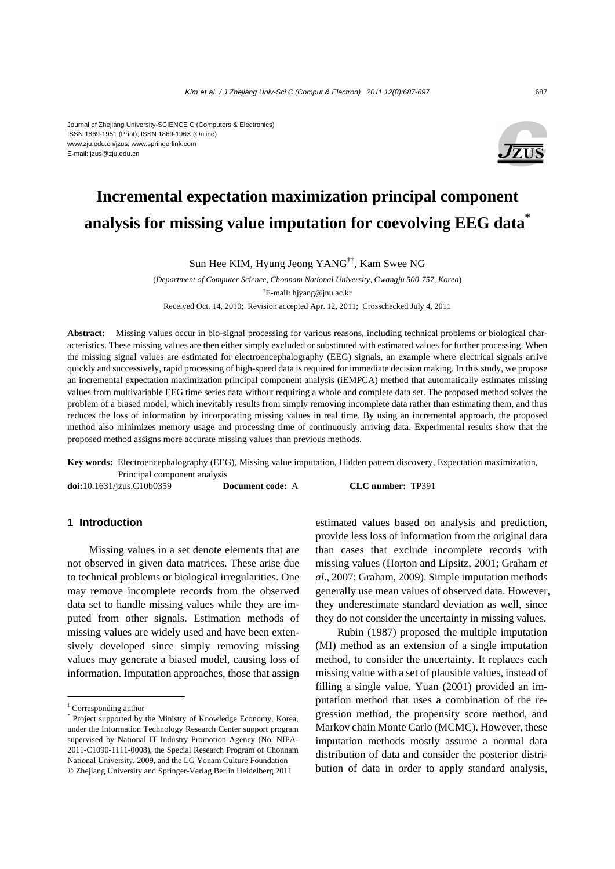#### Journal of Zhejiang University-SCIENCE C (Computers & Electronics) ISSN 1869-1951 (Print); ISSN 1869-196X (Online) www.zju.edu.cn/jzus; www.springerlink.com E-mail: jzus@zju.edu.cn



# **Incremental expectation maximization principal component analysis for missing value imputation for coevolving EEG data\***

Sun Hee KIM, Hyung Jeong YANG†‡, Kam Swee NG

(*Department of Computer Science, Chonnam National University, Gwangju 500-757, Korea*) † E-mail: hjyang@jnu.ac.kr Received Oct. 14, 2010; Revision accepted Apr. 12, 2011; Crosschecked July 4, 2011

**Abstract:** Missing values occur in bio-signal processing for various reasons, including technical problems or biological characteristics. These missing values are then either simply excluded or substituted with estimated values for further processing. When the missing signal values are estimated for electroencephalography (EEG) signals, an example where electrical signals arrive quickly and successively, rapid processing of high-speed data is required for immediate decision making. In this study, we propose an incremental expectation maximization principal component analysis (iEMPCA) method that automatically estimates missing values from multivariable EEG time series data without requiring a whole and complete data set. The proposed method solves the problem of a biased model, which inevitably results from simply removing incomplete data rather than estimating them, and thus reduces the loss of information by incorporating missing values in real time. By using an incremental approach, the proposed method also minimizes memory usage and processing time of continuously arriving data. Experimental results show that the proposed method assigns more accurate missing values than previous methods.

**Key words:** Electroencephalography (EEG), Missing value imputation, Hidden pattern discovery, Expectation maximization, Principal component analysis

**doi:**10.1631/jzus.C10b0359 **Document code:** A **CLC number:** TP391

#### **1 Introduction**

Missing values in a set denote elements that are not observed in given data matrices. These arise due to technical problems or biological irregularities. One may remove incomplete records from the observed data set to handle missing values while they are imputed from other signals. Estimation methods of missing values are widely used and have been extensively developed since simply removing missing values may generate a biased model, causing loss of information. Imputation approaches, those that assign

estimated values based on analysis and prediction, provide less loss of information from the original data than cases that exclude incomplete records with missing values (Horton and Lipsitz, 2001; Graham *et al*., 2007; Graham, 2009). Simple imputation methods generally use mean values of observed data. However, they underestimate standard deviation as well, since they do not consider the uncertainty in missing values.

Rubin (1987) proposed the multiple imputation (MI) method as an extension of a single imputation method, to consider the uncertainty. It replaces each missing value with a set of plausible values, instead of filling a single value. Yuan (2001) provided an imputation method that uses a combination of the regression method, the propensity score method, and Markov chain Monte Carlo (MCMC). However, these imputation methods mostly assume a normal data distribution of data and consider the posterior distribution of data in order to apply standard analysis,

<sup>‡</sup> Corresponding author

<sup>\*</sup> Project supported by the Ministry of Knowledge Economy, Korea, under the Information Technology Research Center support program supervised by National IT Industry Promotion Agency (No. NIPA-2011-C1090-1111-0008), the Special Research Program of Chonnam National University, 2009, and the LG Yonam Culture Foundation © Zhejiang University and Springer-Verlag Berlin Heidelberg 2011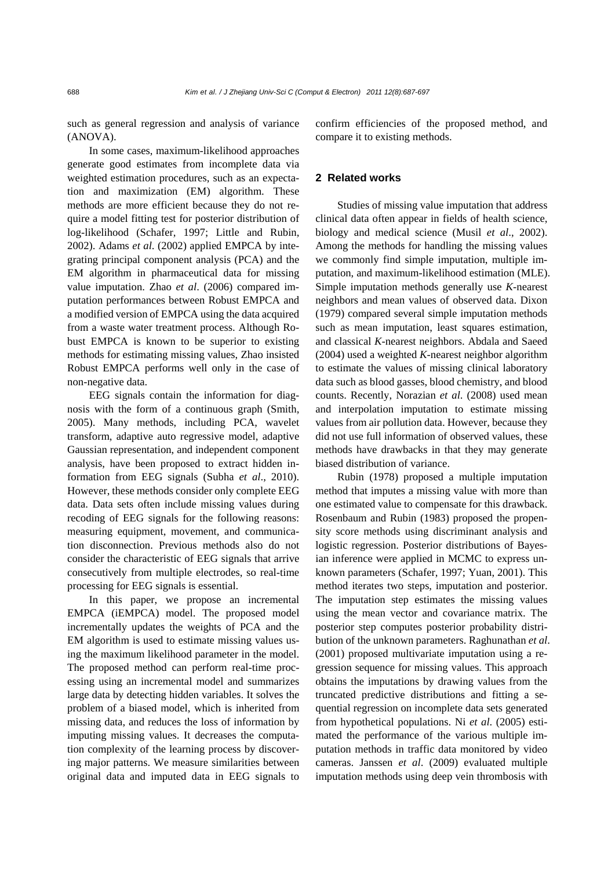such as general regression and analysis of variance (ANOVA).

In some cases, maximum-likelihood approaches generate good estimates from incomplete data via weighted estimation procedures, such as an expectation and maximization (EM) algorithm. These methods are more efficient because they do not require a model fitting test for posterior distribution of log-likelihood (Schafer, 1997; Little and Rubin, 2002). Adams *et al*. (2002) applied EMPCA by integrating principal component analysis (PCA) and the EM algorithm in pharmaceutical data for missing value imputation. Zhao *et al*. (2006) compared imputation performances between Robust EMPCA and a modified version of EMPCA using the data acquired from a waste water treatment process. Although Robust EMPCA is known to be superior to existing methods for estimating missing values, Zhao insisted Robust EMPCA performs well only in the case of non-negative data.

EEG signals contain the information for diagnosis with the form of a continuous graph (Smith, 2005). Many methods, including PCA, wavelet transform, adaptive auto regressive model, adaptive Gaussian representation, and independent component analysis, have been proposed to extract hidden information from EEG signals (Subha *et al*., 2010). However, these methods consider only complete EEG data. Data sets often include missing values during recoding of EEG signals for the following reasons: measuring equipment, movement, and communication disconnection. Previous methods also do not consider the characteristic of EEG signals that arrive consecutively from multiple electrodes, so real-time processing for EEG signals is essential.

In this paper, we propose an incremental EMPCA (iEMPCA) model. The proposed model incrementally updates the weights of PCA and the EM algorithm is used to estimate missing values using the maximum likelihood parameter in the model. The proposed method can perform real-time processing using an incremental model and summarizes large data by detecting hidden variables. It solves the problem of a biased model, which is inherited from missing data, and reduces the loss of information by imputing missing values. It decreases the computation complexity of the learning process by discovering major patterns. We measure similarities between original data and imputed data in EEG signals to

confirm efficiencies of the proposed method, and compare it to existing methods.

## **2 Related works**

Studies of missing value imputation that address clinical data often appear in fields of health science, biology and medical science (Musil *et al*., 2002). Among the methods for handling the missing values we commonly find simple imputation, multiple imputation, and maximum-likelihood estimation (MLE). Simple imputation methods generally use *K*-nearest neighbors and mean values of observed data. Dixon (1979) compared several simple imputation methods such as mean imputation, least squares estimation, and classical *K*-nearest neighbors. Abdala and Saeed (2004) used a weighted *K*-nearest neighbor algorithm to estimate the values of missing clinical laboratory data such as blood gasses, blood chemistry, and blood counts. Recently, Norazian *et al*. (2008) used mean and interpolation imputation to estimate missing values from air pollution data. However, because they did not use full information of observed values, these methods have drawbacks in that they may generate biased distribution of variance.

Rubin (1978) proposed a multiple imputation method that imputes a missing value with more than one estimated value to compensate for this drawback. Rosenbaum and Rubin (1983) proposed the propensity score methods using discriminant analysis and logistic regression. Posterior distributions of Bayesian inference were applied in MCMC to express unknown parameters (Schafer, 1997; Yuan, 2001). This method iterates two steps, imputation and posterior. The imputation step estimates the missing values using the mean vector and covariance matrix. The posterior step computes posterior probability distribution of the unknown parameters. Raghunathan *et al*. (2001) proposed multivariate imputation using a regression sequence for missing values. This approach obtains the imputations by drawing values from the truncated predictive distributions and fitting a sequential regression on incomplete data sets generated from hypothetical populations. Ni *et al*. (2005) estimated the performance of the various multiple imputation methods in traffic data monitored by video cameras. Janssen *et al*. (2009) evaluated multiple imputation methods using deep vein thrombosis with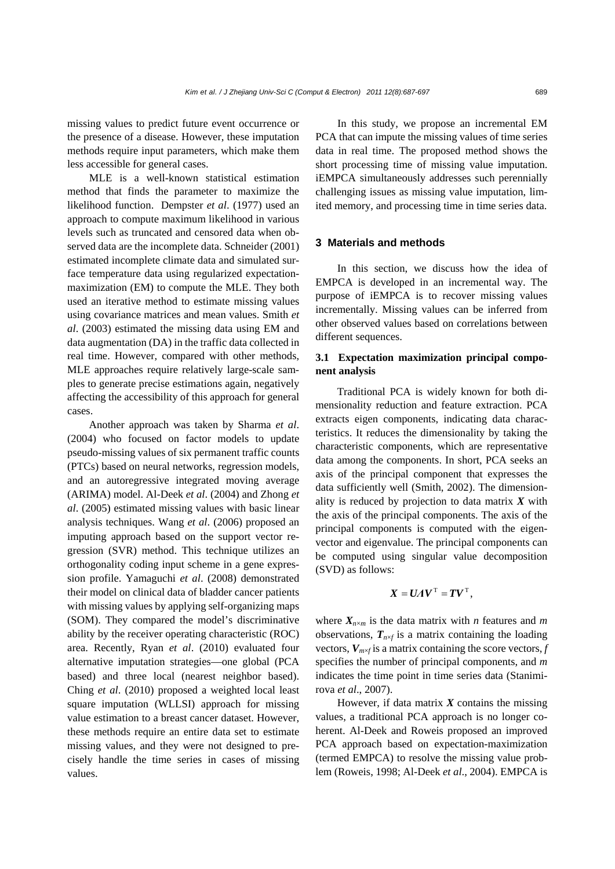missing values to predict future event occurrence or the presence of a disease. However, these imputation methods require input parameters, which make them less accessible for general cases.

MLE is a well-known statistical estimation method that finds the parameter to maximize the likelihood function. Dempster *et al*. (1977) used an approach to compute maximum likelihood in various levels such as truncated and censored data when observed data are the incomplete data. Schneider (2001) estimated incomplete climate data and simulated surface temperature data using regularized expectationmaximization (EM) to compute the MLE. They both used an iterative method to estimate missing values using covariance matrices and mean values. Smith *et al*. (2003) estimated the missing data using EM and data augmentation (DA) in the traffic data collected in real time. However, compared with other methods, MLE approaches require relatively large-scale samples to generate precise estimations again, negatively affecting the accessibility of this approach for general cases.

Another approach was taken by Sharma *et al*. (2004) who focused on factor models to update pseudo-missing values of six permanent traffic counts (PTCs) based on neural networks, regression models, and an autoregressive integrated moving average (ARIMA) model. Al-Deek *et al*. (2004) and Zhong *et al*. (2005) estimated missing values with basic linear analysis techniques. Wang *et al*. (2006) proposed an imputing approach based on the support vector regression (SVR) method. This technique utilizes an orthogonality coding input scheme in a gene expression profile. Yamaguchi *et al*. (2008) demonstrated their model on clinical data of bladder cancer patients with missing values by applying self-organizing maps (SOM). They compared the model's discriminative ability by the receiver operating characteristic (ROC) area. Recently, Ryan *et al*. (2010) evaluated four alternative imputation strategies—one global (PCA based) and three local (nearest neighbor based). Ching *et al*. (2010) proposed a weighted local least square imputation (WLLSI) approach for missing value estimation to a breast cancer dataset. However, these methods require an entire data set to estimate missing values, and they were not designed to precisely handle the time series in cases of missing values.

In this study, we propose an incremental EM PCA that can impute the missing values of time series data in real time. The proposed method shows the short processing time of missing value imputation. iEMPCA simultaneously addresses such perennially challenging issues as missing value imputation, limited memory, and processing time in time series data.

#### **3 Materials and methods**

In this section, we discuss how the idea of EMPCA is developed in an incremental way. The purpose of iEMPCA is to recover missing values incrementally. Missing values can be inferred from other observed values based on correlations between different sequences.

## **3.1 Expectation maximization principal component analysis**

Traditional PCA is widely known for both dimensionality reduction and feature extraction. PCA extracts eigen components, indicating data characteristics. It reduces the dimensionality by taking the characteristic components, which are representative data among the components. In short, PCA seeks an axis of the principal component that expresses the data sufficiently well (Smith, 2002). The dimensionality is reduced by projection to data matrix *X* with the axis of the principal components. The axis of the principal components is computed with the eigenvector and eigenvalue. The principal components can be computed using singular value decomposition (SVD) as follows:

$$
X = UAV^{\mathrm{T}} = TV^{\mathrm{T}},
$$

where  $X_{n\times m}$  is the data matrix with *n* features and *m* observations,  $T_{n \times f}$  is a matrix containing the loading vectors,  $V_{m \times f}$  is a matrix containing the score vectors,  $f$ specifies the number of principal components, and *m* indicates the time point in time series data (Stanimirova *et al*., 2007).

However, if data matrix  $X$  contains the missing values, a traditional PCA approach is no longer coherent. Al-Deek and Roweis proposed an improved PCA approach based on expectation-maximization (termed EMPCA) to resolve the missing value problem (Roweis, 1998; Al-Deek *et al*., 2004). EMPCA is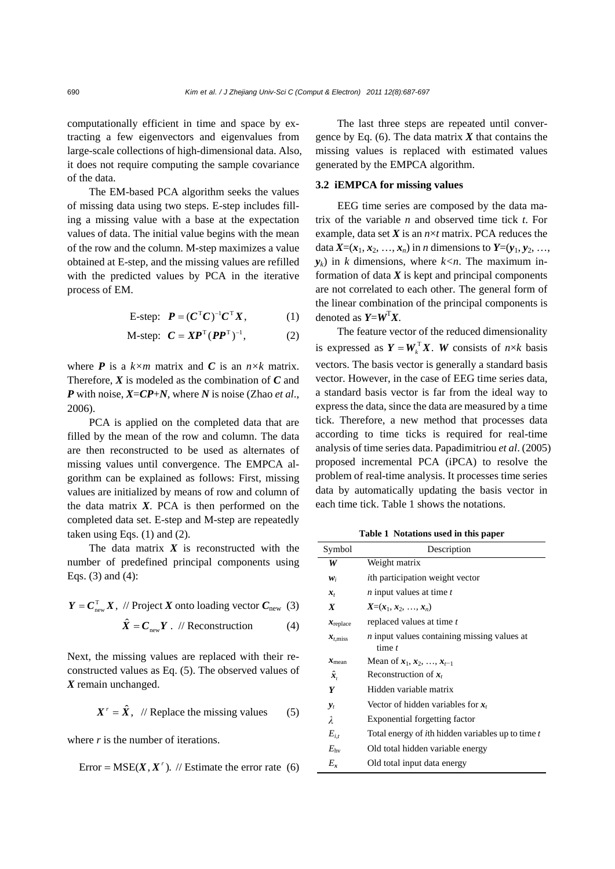computationally efficient in time and space by extracting a few eigenvectors and eigenvalues from large-scale collections of high-dimensional data. Also, it does not require computing the sample covariance of the data.

The EM-based PCA algorithm seeks the values of missing data using two steps. E-step includes filling a missing value with a base at the expectation values of data. The initial value begins with the mean of the row and the column. M-step maximizes a value obtained at E-step, and the missing values are refilled with the predicted values by PCA in the iterative process of EM.

E-step: 
$$
P = (C^{\mathrm{T}}C)^{-1}C^{\mathrm{T}}X, \qquad (1)
$$

$$
M-step: \tC = XPT(PPT)-1,
$$
 (2)

where **P** is a  $k \times m$  matrix and **C** is an  $n \times k$  matrix. Therefore, *X* is modeled as the combination of *C* and *P* with noise, *X*=*CP*+*N*, where *N* is noise (Zhao *et al*., 2006).

PCA is applied on the completed data that are filled by the mean of the row and column. The data are then reconstructed to be used as alternates of missing values until convergence. The EMPCA algorithm can be explained as follows: First, missing values are initialized by means of row and column of the data matrix *X*. PCA is then performed on the completed data set. E-step and M-step are repeatedly taken using Eqs. (1) and (2).

The data matrix *X* is reconstructed with the number of predefined principal components using Eqs. (3) and (4):

$$
Y = C_{new}^T X
$$
, // Project X onto loading vector  $C_{new}$  (3)

$$
\hat{\mathbf{X}} = \mathbf{C}_{\text{new}} \mathbf{Y} \ . \ // \ \text{Reconstruction} \tag{4}
$$

Next, the missing values are replaced with their reconstructed values as Eq. (5). The observed values of *X* remain unchanged.

$$
X^r = \hat{X}
$$
, // Replace the missing values (5)

where *r* is the number of iterations.

Error = 
$$
MSE(X, X^r)
$$
. // Estimate the error rate (6)

The last three steps are repeated until convergence by Eq.  $(6)$ . The data matrix *X* that contains the missing values is replaced with estimated values generated by the EMPCA algorithm.

## **3.2 iEMPCA for missing values**

EEG time series are composed by the data matrix of the variable *n* and observed time tick *t*. For example, data set *X* is an *n*×*t* matrix. PCA reduces the data  $X=(x_1, x_2, \ldots, x_n)$  in *n* dimensions to  $Y=(y_1, y_2, \ldots, y_n)$  $y_k$ ) in *k* dimensions, where  $k < n$ . The maximum information of data  $X$  is kept and principal components are not correlated to each other. The general form of the linear combination of the principal components is denoted as *Y*=*W*<sup>T</sup> *X*.

The feature vector of the reduced dimensionality is expressed as  $Y = W_k^T X$ . *W* consists of *n*×*k* basis vectors. The basis vector is generally a standard basis vector. However, in the case of EEG time series data, a standard basis vector is far from the ideal way to express the data, since the data are measured by a time tick. Therefore, a new method that processes data according to time ticks is required for real-time analysis of time series data. Papadimitriou *et al*. (2005) proposed incremental PCA (iPCA) to resolve the problem of real-time analysis. It processes time series data by automatically updating the basis vector in each time tick. Table 1 shows the notations.

**Table 1 Notations used in this paper** 

| Symbol               | Description                                                    |
|----------------------|----------------------------------------------------------------|
| W                    | Weight matrix                                                  |
| $w_i$                | <i>i</i> th participation weight vector                        |
| $\mathbf{x}_t$       | <i>n</i> input values at time <i>t</i>                         |
| X                    | $X=(x_1, x_2, , x_n)$                                          |
| $x_{\text{replace}}$ | replaced values at time t                                      |
| $x_{t,\text{miss}}$  | <i>n</i> input values containing missing values at<br>time $t$ |
| $x_{\text{mean}}$    | Mean of $x_1, x_2, , x_{t-1}$                                  |
| $\hat{x}_i$          | Reconstruction of $x_t$                                        |
| Y                    | Hidden variable matrix                                         |
| $\mathbf{v}_t$       | Vector of hidden variables for $x_t$                           |
| λ                    | Exponential forgetting factor                                  |
| $E_{i,t}$            | Total energy of <i>i</i> th hidden variables up to time t      |
| $E_{\rm hv}$         | Old total hidden variable energy                               |
| $E_x$                | Old total input data energy                                    |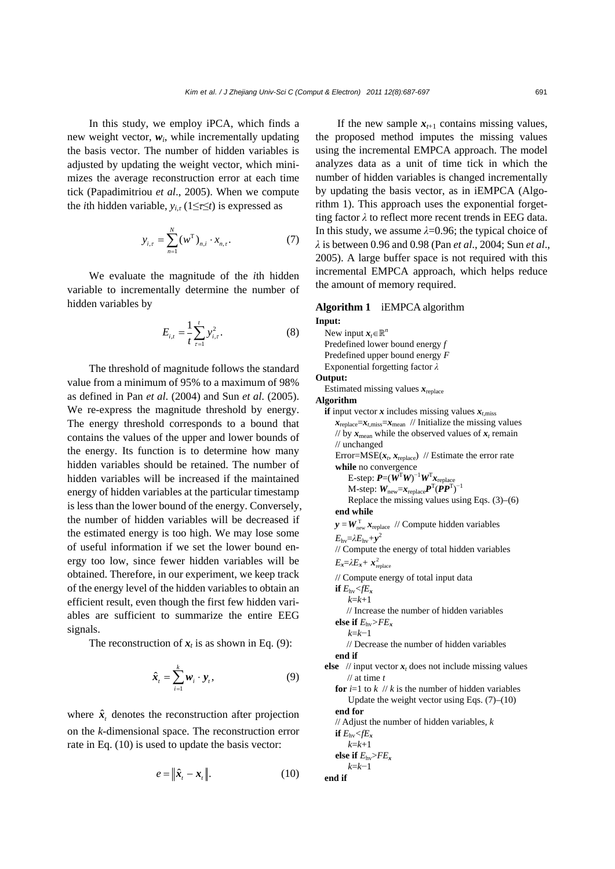In this study, we employ iPCA, which finds a new weight vector, *wi*, while incrementally updating the basis vector. The number of hidden variables is adjusted by updating the weight vector, which minimizes the average reconstruction error at each time tick (Papadimitriou *et al*., 2005). When we compute the *i*th hidden variable,  $y_{i,\tau}$  (1≤*τ*≤*t*) is expressed as

$$
y_{i,\tau} = \sum_{n=1}^{N} (w^{\mathrm{T}})_{n,i} \cdot x_{n,\tau}.
$$
 (7)

We evaluate the magnitude of the *i*th hidden variable to incrementally determine the number of hidden variables by

$$
E_{i,t} = \frac{1}{t} \sum_{\tau=1}^{t} y_{i,\tau}^2.
$$
 (8)

The threshold of magnitude follows the standard value from a minimum of 95% to a maximum of 98% as defined in Pan *et al*. (2004) and Sun *et al*. (2005). We re-express the magnitude threshold by energy. The energy threshold corresponds to a bound that contains the values of the upper and lower bounds of the energy. Its function is to determine how many hidden variables should be retained. The number of hidden variables will be increased if the maintained energy of hidden variables at the particular timestamp is less than the lower bound of the energy. Conversely, the number of hidden variables will be decreased if the estimated energy is too high. We may lose some of useful information if we set the lower bound energy too low, since fewer hidden variables will be obtained. Therefore, in our experiment, we keep track of the energy level of the hidden variables to obtain an efficient result, even though the first few hidden variables are sufficient to summarize the entire EEG signals.

The reconstruction of  $x_t$  is as shown in Eq. (9):

$$
\hat{\boldsymbol{x}}_t = \sum_{i=1}^k \boldsymbol{w}_i \cdot \boldsymbol{y}_t, \tag{9}
$$

where  $\hat{x}$ , denotes the reconstruction after projection on the *k*-dimensional space. The reconstruction error rate in Eq. (10) is used to update the basis vector:

$$
e = \|\hat{\boldsymbol{x}}_t - \boldsymbol{x}_t\|.\tag{10}
$$

If the new sample  $x_{t+1}$  contains missing values, the proposed method imputes the missing values using the incremental EMPCA approach. The model analyzes data as a unit of time tick in which the number of hidden variables is changed incrementally by updating the basis vector, as in iEMPCA (Algorithm 1). This approach uses the exponential forgetting factor *λ* to reflect more recent trends in EEG data. In this study, we assume *λ*=0.96; the typical choice of *λ* is between 0.96 and 0.98 (Pan *et al*., 2004; Sun *et al*., 2005). A large buffer space is not required with this incremental EMPCA approach, which helps reduce the amount of memory required.

#### **Algorithm 1** iEMPCA algorithm **Input:**

New input  $\mathbf{x}_t \in \mathbb{R}^n$ Predefined lower bound energy *f* Predefined upper bound energy *F* Exponential forgetting factor *λ* **Output:**  Estimated missing values  $x_{\text{replace}}$ **Algorithm if** input vector *x* includes missing values  $x_t$ <sub>miss</sub>  $x_{\text{replace}} = x_{t,\text{miss}} = x_{\text{mean}}$  // Initialize the missing values // by  $x_{\text{mean}}$  while the observed values of  $x_t$  remain // unchanged Error=MSE( $x_t$ ,  $x_{replace}$ ) // Estimate the error rate while no convergence E-step:  $\textbf{\textit{P}}=(\textit{W}^\mathrm{T}\textit{W})^{-1}\textit{W}^\mathrm{T}\textit{x}_\mathrm{replace}$  $\mathbf{M}\text{-step: } \boldsymbol{W}_{\text{new}}\text{=} \boldsymbol{x}_{\text{replace}} \boldsymbol{P}^\text{T} (\boldsymbol{\dot{P}} \boldsymbol{P}^\text{T})^{-1}$ Replace the missing values using Eqs. (3)–(6) **end while**   $y = W_{\text{new}}^T$ ,  $x_{\text{replace}}$  // Compute hidden variables  $E_{\text{hv}} = \lambda E_{\text{hv}} + y^2$ // Compute the energy of total hidden variables *E*<sub>*x*</sub>=*λE*<sub>*x*</sub> +  $\boldsymbol{x}_{\text{replace}}^2$ // Compute energy of total input data **if**  $E_{\text{hv}} \leq fE_x$  $k = k + 1$ // Increase the number of hidden variables **else if** *E*hv*>FE<sup>x</sup> k*=*k*−1 // Decrease the number of hidden variables **end if else** // input vector  $x_t$  does not include missing values // at time *t*  **for**  $i=1$  to  $k \neq k$  is the number of hidden variables Update the weight vector using Eqs. (7)–(10) **end for**  // Adjust the number of hidden variables, *k* **if**  $E_{\text{hv}} \leq fE_x$ *k*=*k*+1 **else if** *E*hv>*FE<sup>x</sup> k*=*k*−1 **end if**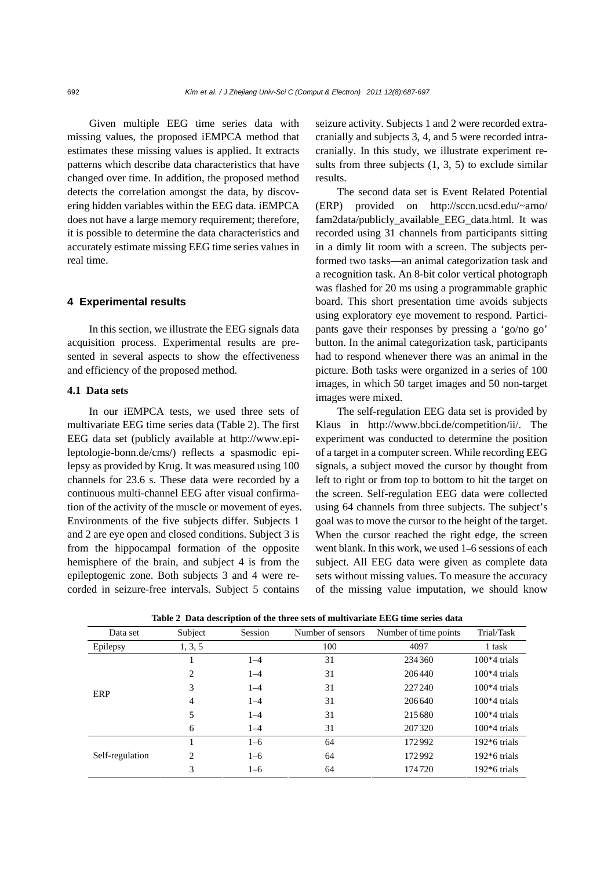Given multiple EEG time series data with missing values, the proposed iEMPCA method that estimates these missing values is applied. It extracts patterns which describe data characteristics that have changed over time. In addition, the proposed method detects the correlation amongst the data, by discovering hidden variables within the EEG data. iEMPCA does not have a large memory requirement; therefore, it is possible to determine the data characteristics and accurately estimate missing EEG time series values in real time.

#### **4 Experimental results**

In this section, we illustrate the EEG signals data acquisition process. Experimental results are presented in several aspects to show the effectiveness and efficiency of the proposed method.

## **4.1 Data sets**

In our iEMPCA tests, we used three sets of multivariate EEG time series data (Table 2). The first EEG data set (publicly available at http://www.epileptologie-bonn.de/cms/) reflects a spasmodic epilepsy as provided by Krug. It was measured using 100 channels for 23.6 s. These data were recorded by a continuous multi-channel EEG after visual confirmation of the activity of the muscle or movement of eyes. Environments of the five subjects differ. Subjects 1 and 2 are eye open and closed conditions. Subject 3 is from the hippocampal formation of the opposite hemisphere of the brain, and subject 4 is from the epileptogenic zone. Both subjects 3 and 4 were recorded in seizure-free intervals. Subject 5 contains

seizure activity. Subjects 1 and 2 were recorded extracranially and subjects 3, 4, and 5 were recorded intracranially. In this study, we illustrate experiment results from three subjects  $(1, 3, 5)$  to exclude similar results.

The second data set is Event Related Potential (ERP) provided on http://sccn.ucsd.edu/~arno/ fam2data/publicly\_available\_EEG\_data.html. It was recorded using 31 channels from participants sitting in a dimly lit room with a screen. The subjects performed two tasks—an animal categorization task and a recognition task. An 8-bit color vertical photograph was flashed for 20 ms using a programmable graphic board. This short presentation time avoids subjects using exploratory eye movement to respond. Participants gave their responses by pressing a 'go/no go' button. In the animal categorization task, participants had to respond whenever there was an animal in the picture. Both tasks were organized in a series of 100 images, in which 50 target images and 50 non-target images were mixed.

The self-regulation EEG data set is provided by Klaus in http://www.bbci.de/competition/ii/. The experiment was conducted to determine the position of a target in a computer screen. While recording EEG signals, a subject moved the cursor by thought from left to right or from top to bottom to hit the target on the screen. Self-regulation EEG data were collected using 64 channels from three subjects. The subject's goal was to move the cursor to the height of the target. When the cursor reached the right edge, the screen went blank. In this work, we used 1–6 sessions of each subject. All EEG data were given as complete data sets without missing values. To measure the accuracy of the missing value imputation, we should know

| Data set        | Subject                       | Session | Number of sensors | Number of time points | Trial/Task     |
|-----------------|-------------------------------|---------|-------------------|-----------------------|----------------|
| Epilepsy        | 1, 3, 5                       |         | 100               | 4097                  | 1 task         |
|                 |                               | $1 - 4$ | 31                | 234360                | $100*4$ trials |
| $\overline{c}$  |                               | $1 - 4$ | 31                | 206440                | $100*4$ trials |
| ERP             | 3                             | $1 - 4$ | 31                | 227240                | $100*4$ trials |
|                 | 4                             | $1 - 4$ | 31                | 206640                | $100*4$ trials |
|                 | 5                             | $1 - 4$ | 31                | 215680                | $100*4$ trials |
|                 | 6                             | $1 - 4$ | 31                | 207320                | $100*4$ trials |
|                 |                               | $1 - 6$ | 64                | 172992                | $192*6$ trials |
| Self-regulation | $\mathfrak{D}_{\mathfrak{p}}$ | $1 - 6$ | 64                | 172992                | $192*6$ trials |
|                 | 3                             | $1 - 6$ | 64                | 174720                | $192*6$ trials |

**Table 2 Data description of the three sets of multivariate EEG time series data**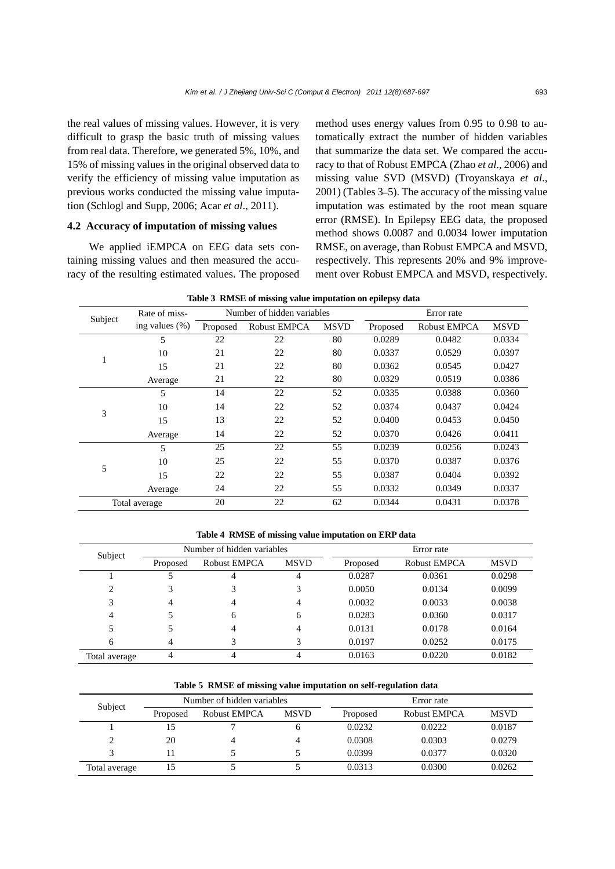the real values of missing values. However, it is very difficult to grasp the basic truth of missing values from real data. Therefore, we generated 5%, 10%, and 15% of missing values in the original observed data to verify the efficiency of missing value imputation as previous works conducted the missing value imputation (Schlogl and Supp, 2006; Acar *et al*., 2011).

#### **4.2 Accuracy of imputation of missing values**

We applied iEMPCA on EEG data sets containing missing values and then measured the accuracy of the resulting estimated values. The proposed method uses energy values from 0.95 to 0.98 to automatically extract the number of hidden variables that summarize the data set. We compared the accuracy to that of Robust EMPCA (Zhao *et al*., 2006) and missing value SVD (MSVD) (Troyanskaya *et al*., 2001) (Tables 3–5). The accuracy of the missing value imputation was estimated by the root mean square error (RMSE). In Epilepsy EEG data, the proposed method shows 0.0087 and 0.0034 lower imputation RMSE, on average, than Robust EMPCA and MSVD, respectively. This represents 20% and 9% improvement over Robust EMPCA and MSVD, respectively.

| Subject | Rate of miss-     |          | Number of hidden variables |             |          | Error rate   |             |  |
|---------|-------------------|----------|----------------------------|-------------|----------|--------------|-------------|--|
|         | ing values $(\%)$ | Proposed | Robust EMPCA               | <b>MSVD</b> | Proposed | Robust EMPCA | <b>MSVD</b> |  |
|         | 5                 | 22       | 22                         | 80          | 0.0289   | 0.0482       | 0.0334      |  |
| 1       | 10                | 21       | 22                         | 80          | 0.0337   | 0.0529       | 0.0397      |  |
|         | 15                | 21       | 22                         | 80          | 0.0362   | 0.0545       | 0.0427      |  |
|         | Average           | 21       | 22                         | 80          | 0.0329   | 0.0519       | 0.0386      |  |
|         | 5                 | 14       | 22                         | 52          | 0.0335   | 0.0388       | 0.0360      |  |
|         | 10                | 14       | 22                         | 52          | 0.0374   | 0.0437       | 0.0424      |  |
| 3       | 15                | 13       | 22                         | 52          | 0.0400   | 0.0453       | 0.0450      |  |
|         | Average           | 14       | 22                         | 52          | 0.0370   | 0.0426       | 0.0411      |  |
|         | 5                 | 25       | 22                         | 55          | 0.0239   | 0.0256       | 0.0243      |  |
|         | 10                | 25       | 22                         | 55          | 0.0370   | 0.0387       | 0.0376      |  |
| 5       | 15                | 22       | 22                         | 55          | 0.0387   | 0.0404       | 0.0392      |  |
|         | Average           | 24       | 22                         | 55          | 0.0332   | 0.0349       | 0.0337      |  |
|         | Total average     | 20       | 22                         | 62          | 0.0344   | 0.0431       | 0.0378      |  |

| Table 3 RMSE of missing value imputation on epilepsy data |  |  |  |  |
|-----------------------------------------------------------|--|--|--|--|
|-----------------------------------------------------------|--|--|--|--|

**Table 4 RMSE of missing value imputation on ERP data** 

| Subject       |          | Number of hidden variables |             |          | Error rate          |             |
|---------------|----------|----------------------------|-------------|----------|---------------------|-------------|
|               | Proposed | <b>Robust EMPCA</b>        | <b>MSVD</b> | Proposed | <b>Robust EMPCA</b> | <b>MSVD</b> |
|               |          |                            | 4           | 0.0287   | 0.0361              | 0.0298      |
|               |          |                            | 3           | 0.0050   | 0.0134              | 0.0099      |
| 3             | 4        | 4                          | 4           | 0.0032   | 0.0033              | 0.0038      |
| 4             |          | 6                          | 6           | 0.0283   | 0.0360              | 0.0317      |
|               |          | 4                          | 4           | 0.0131   | 0.0178              | 0.0164      |
| 6             | 4        |                            | 3           | 0.0197   | 0.0252              | 0.0175      |
| Total average |          |                            | 4           | 0.0163   | 0.0220              | 0.0182      |

#### **Table 5 RMSE of missing value imputation on self-regulation data**

| Subject       |          | Number of hidden variables |             |          | Error rate   |             |
|---------------|----------|----------------------------|-------------|----------|--------------|-------------|
|               | Proposed | Robust EMPCA               | <b>MSVD</b> | Proposed | Robust EMPCA | <b>MSVD</b> |
|               |          |                            |             | 0.0232   | 0.0222       | 0.0187      |
|               | 20       |                            |             | 0.0308   | 0.0303       | 0.0279      |
|               |          |                            |             | 0.0399   | 0.0377       | 0.0320      |
| Total average |          |                            |             | 0.0313   | 0.0300       | 0.0262      |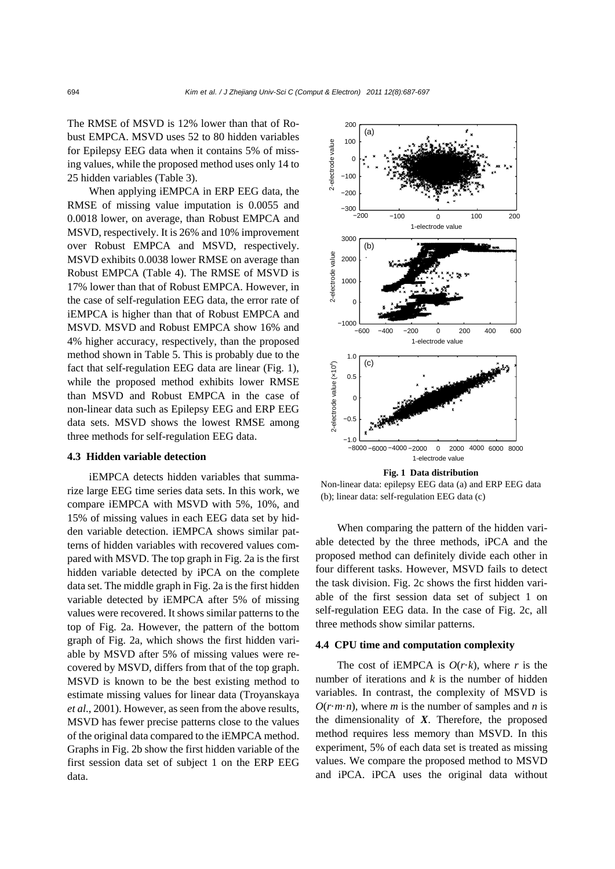The RMSE of MSVD is 12% lower than that of Robust EMPCA. MSVD uses 52 to 80 hidden variables for Epilepsy EEG data when it contains 5% of missing values, while the proposed method uses only 14 to 25 hidden variables (Table 3).

When applying iEMPCA in ERP EEG data, the RMSE of missing value imputation is 0.0055 and 0.0018 lower, on average, than Robust EMPCA and MSVD, respectively. It is 26% and 10% improvement over Robust EMPCA and MSVD, respectively. MSVD exhibits 0.0038 lower RMSE on average than Robust EMPCA (Table 4). The RMSE of MSVD is 17% lower than that of Robust EMPCA. However, in the case of self-regulation EEG data, the error rate of iEMPCA is higher than that of Robust EMPCA and MSVD. MSVD and Robust EMPCA show 16% and 4% higher accuracy, respectively, than the proposed method shown in Table 5. This is probably due to the fact that self-regulation EEG data are linear (Fig. 1), while the proposed method exhibits lower RMSE than MSVD and Robust EMPCA in the case of non-linear data such as Epilepsy EEG and ERP EEG data sets. MSVD shows the lowest RMSE among three methods for self-regulation EEG data.

#### **4.3 Hidden variable detection**

iEMPCA detects hidden variables that summarize large EEG time series data sets. In this work, we compare iEMPCA with MSVD with 5%, 10%, and 15% of missing values in each EEG data set by hidden variable detection. iEMPCA shows similar patterns of hidden variables with recovered values compared with MSVD. The top graph in Fig. 2a is the first hidden variable detected by iPCA on the complete data set. The middle graph in Fig. 2a is the first hidden variable detected by iEMPCA after 5% of missing values were recovered. It shows similar patterns to the top of Fig. 2a. However, the pattern of the bottom graph of Fig. 2a, which shows the first hidden variable by MSVD after 5% of missing values were recovered by MSVD, differs from that of the top graph. MSVD is known to be the best existing method to estimate missing values for linear data (Troyanskaya *et al*., 2001). However, as seen from the above results, MSVD has fewer precise patterns close to the values of the original data compared to the iEMPCA method. Graphs in Fig. 2b show the first hidden variable of the first session data set of subject 1 on the ERP EEG data.



Non-linear data: epilepsy EEG data (a) and ERP EEG data (b); linear data: self-regulation EEG data (c)

When comparing the pattern of the hidden variable detected by the three methods, iPCA and the proposed method can definitely divide each other in four different tasks. However, MSVD fails to detect the task division. Fig. 2c shows the first hidden variable of the first session data set of subject 1 on self-regulation EEG data. In the case of Fig. 2c, all three methods show similar patterns.

#### **4.4 CPU time and computation complexity**

The cost of iEMPCA is  $O(r \cdot k)$ , where *r* is the number of iterations and *k* is the number of hidden variables. In contrast, the complexity of MSVD is  $O(r \cdot m \cdot n)$ , where *m* is the number of samples and *n* is the dimensionality of *X*. Therefore, the proposed method requires less memory than MSVD. In this experiment, 5% of each data set is treated as missing values. We compare the proposed method to MSVD and iPCA. iPCA uses the original data without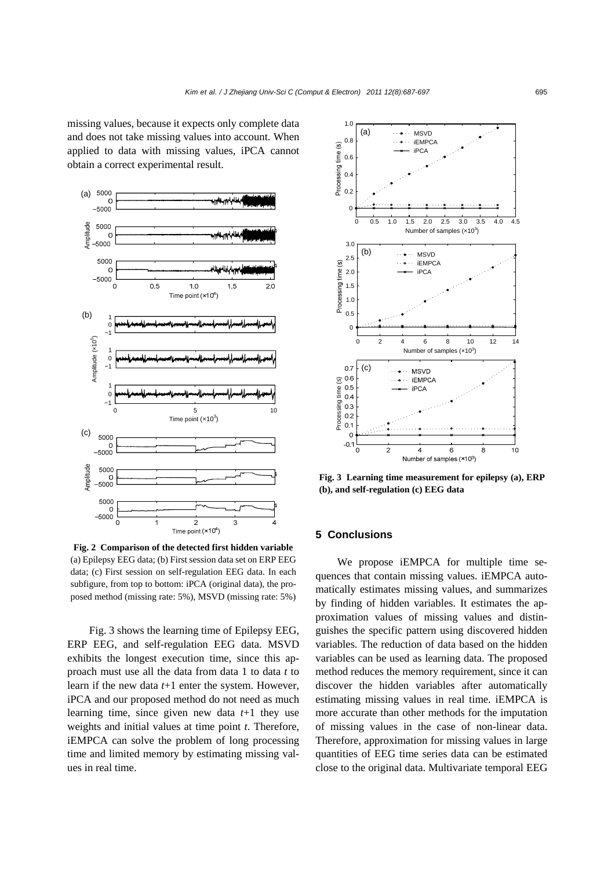missing values, because it expects only complete data and does not take missing values into account. When applied to data with missing values, iPCA cannot obtain a correct experimental result.



**Fig. 2 Comparison of the detected first hidden variable** (a) Epilepsy EEG data; (b) First session data set on ERP EEG data; (c) First session on self-regulation EEG data. In each subfigure, from top to bottom: iPCA (original data), the proposed method (missing rate: 5%), MSVD (missing rate: 5%)

Fig. 3 shows the learning time of Epilepsy EEG, ERP EEG, and self-regulation EEG data. MSVD exhibits the longest execution time, since this approach must use all the data from data 1 to data *t* to learn if the new data *t*+1 enter the system. However, iPCA and our proposed method do not need as much learning time, since given new data *t*+1 they use weights and initial values at time point *t*. Therefore, iEMPCA can solve the problem of long processing time and limited memory by estimating missing values in real time.



**Fig. 3 Learning time measurement for epilepsy (a), ERP** 

#### **5 Conclusions**

We propose iEMPCA for multiple time sequences that contain missing values. iEMPCA automatically estimates missing values, and summarizes by finding of hidden variables. It estimates the approximation values of missing values and distinguishes the specific pattern using discovered hidden variables. The reduction of data based on the hidden variables can be used as learning data. The proposed method reduces the memory requirement, since it can discover the hidden variables after automatically estimating missing values in real time. iEMPCA is more accurate than other methods for the imputation of missing values in the case of non-linear data. Therefore, approximation for missing values in large quantities of EEG time series data can be estimated close to the original data. Multivariate temporal EEG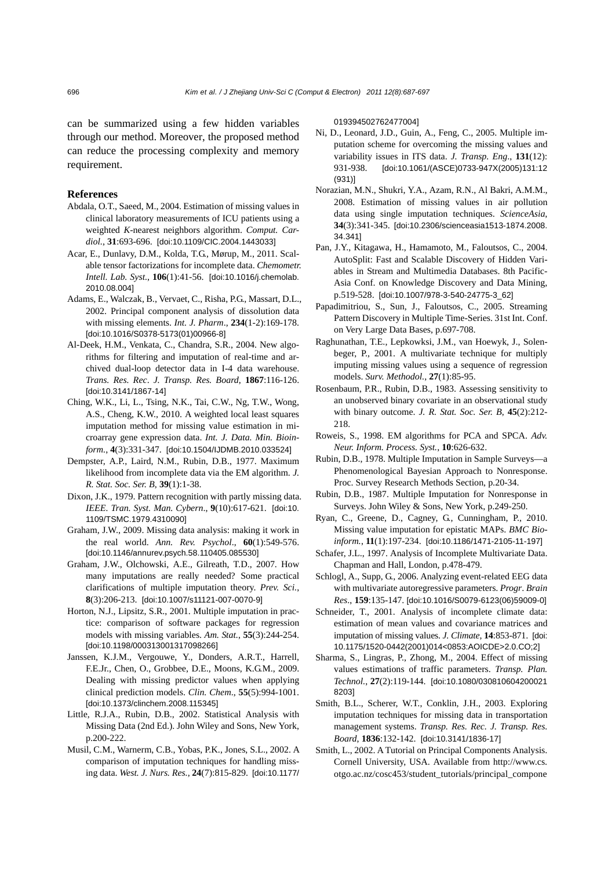can be summarized using a few hidden variables through our method. Moreover, the proposed method can reduce the processing complexity and memory requirement.

#### **References**

- Abdala, O.T., Saeed, M., 2004. Estimation of missing values in clinical laboratory measurements of ICU patients using a weighted *K*-nearest neighbors algorithm. *Comput. Cardiol.*, **31**:693-696. [doi:10.1109/CIC.2004.1443033]
- Acar, E., Dunlavy, D.M., Kolda, T.G., Mørup, M., 2011. Scalable tensor factorizations for incomplete data. *Chemometr. Intell. Lab. Syst.*, **106**(1):41-56. [doi:10.1016/j.chemolab. 2010.08.004]
- Adams, E., Walczak, B., Vervaet, C., Risha, P.G., Massart, D.L., 2002. Principal component analysis of dissolution data with missing elements. *Int. J. Pharm*., **234**(1-2):169-178. [doi:10.1016/S0378-5173(01)00966-8]
- Al-Deek, H.M., Venkata, C., Chandra, S.R., 2004. New algorithms for filtering and imputation of real-time and archived dual-loop detector data in I-4 data warehouse. *Trans. Res. Rec*. *J. Transp. Res. Board*, **1867**:116-126. [doi:10.3141/1867-14]
- Ching, W.K., Li, L., Tsing, N.K., Tai, C.W., Ng, T.W., Wong, A.S., Cheng, K.W., 2010. A weighted local least squares imputation method for missing value estimation in microarray gene expression data. *Int. J. Data. Min. Bioinform.*, **4**(3):331-347. [doi:10.1504/IJDMB.2010.033524]
- Dempster, A.P., Laird, N.M., Rubin, D.B., 1977. Maximum likelihood from incomplete data via the EM algorithm. *J. R. Stat. Soc. Ser. B*, **39**(1):1-38.
- Dixon, J.K., 1979. Pattern recognition with partly missing data. *IEEE. Tran. Syst. Man. Cybern*., **9**(10):617-621. [doi:10. 1109/TSMC.1979.4310090]
- Graham, J.W., 2009. Missing data analysis: making it work in the real world. *Ann. Rev. Psychol*., **60**(1):549-576. [doi:10.1146/annurev.psych.58.110405.085530]
- Graham, J.W., Olchowski, A.E., Gilreath, T.D., 2007. How many imputations are really needed? Some practical clarifications of multiple imputation theory. *Prev. Sci.*, **8**(3):206-213. [doi:10.1007/s11121-007-0070-9]
- Horton, N.J., Lipsitz, S.R., 2001. Multiple imputation in practice: comparison of software packages for regression models with missing variables. *Am. Stat.*, **55**(3):244-254. [doi:10.1198/000313001317098266]
- Janssen, K.J.M., Vergouwe, Y., Donders, A.R.T., Harrell, F.E.Jr., Chen, O., Grobbee, D.E., Moons, K.G.M., 2009. Dealing with missing predictor values when applying clinical prediction models. *Clin. Chem*., **55**(5):994-1001. [doi:10.1373/clinchem.2008.115345]
- Little, R.J.A., Rubin, D.B., 2002. Statistical Analysis with Missing Data (2nd Ed.). John Wiley and Sons, New York, p.200-222.
- Musil, C.M., Warnerm, C.B., Yobas, P.K., Jones, S.L., 2002. A comparison of imputation techniques for handling missing data. *West. J. Nurs. Res.*, **24**(7):815-829. [doi:10.1177/

019394502762477004]

- Ni, D., Leonard, J.D., Guin, A., Feng, C., 2005. Multiple imputation scheme for overcoming the missing values and variability issues in ITS data. *J. Transp. Eng*., **131**(12): 931-938. [doi:10.1061/(ASCE)0733-947X(2005)131:12 (931)]
- Norazian, M.N., Shukri, Y.A., Azam, R.N., Al Bakri, A.M.M., 2008. Estimation of missing values in air pollution data using single imputation techniques. *ScienceAsia*, **34**(3):341-345. [doi:10.2306/scienceasia1513-1874.2008. 34.341]
- Pan, J.Y., Kitagawa, H., Hamamoto, M., Faloutsos, C., 2004. AutoSplit: Fast and Scalable Discovery of Hidden Variables in Stream and Multimedia Databases. 8th Pacific-Asia Conf. on Knowledge Discovery and Data Mining, p.519-528. [doi:10.1007/978-3-540-24775-3\_62]
- Papadimitriou, S., Sun, J., Faloutsos, C., 2005. Streaming Pattern Discovery in Multiple Time-Series. 31st Int. Conf. on Very Large Data Bases, p.697-708.
- Raghunathan, T.E., Lepkowksi, J.M., van Hoewyk, J., Solenbeger, P., 2001. A multivariate technique for multiply imputing missing values using a sequence of regression models. *Surv. Methodol.*, **27**(1):85-95.
- Rosenbaum, P.R., Rubin, D.B., 1983. Assessing sensitivity to an unobserved binary covariate in an observational study with binary outcome. *J. R. Stat. Soc. Ser. B*, **45**(2):212- 218.
- Roweis, S., 1998. EM algorithms for PCA and SPCA. *Adv. Neur. Inform. Process. Syst.*, **10**:626-632.
- Rubin, D.B., 1978. Multiple Imputation in Sample Surveys—a Phenomenological Bayesian Approach to Nonresponse. Proc. Survey Research Methods Section, p.20-34.
- Rubin, D.B., 1987. Multiple Imputation for Nonresponse in Surveys. John Wiley & Sons, New York, p.249-250.
- Ryan, C., Greene, D., Cagney, G., Cunningham, P., 2010. Missing value imputation for epistatic MAPs. *BMC Bioinform.*, **11**(1):197-234. [doi:10.1186/1471-2105-11-197]
- Schafer, J.L., 1997. Analysis of Incomplete Multivariate Data. Chapman and Hall, London, p.478-479.
- Schlogl, A., Supp, G., 2006. Analyzing event-related EEG data with multivariate autoregressive parameters. *Progr*. *Brain Res*., **159**:135-147. [doi:10.1016/S0079-6123(06)59009-0]
- Schneider, T., 2001. Analysis of incomplete climate data: estimation of mean values and covariance matrices and imputation of missing values. *J. Climate*, **14**:853-871. [doi: 10.1175/1520-0442(2001)014<0853:AOICDE>2.0.CO;2]
- Sharma, S., Lingras, P., Zhong, M., 2004. Effect of missing values estimations of traffic parameters. *Transp. Plan. Technol.*, **27**(2):119-144. [doi:10.1080/030810604200021 8203]
- Smith, B.L., Scherer, W.T., Conklin, J.H., 2003. Exploring imputation techniques for missing data in transportation management systems. *Transp. Res. Rec. J. Transp. Res. Board*, **1836**:132-142. [doi:10.3141/1836-17]
- Smith, L., 2002. A Tutorial on Principal Components Analysis. Cornell University, USA. Available from http://www.cs. otgo.ac.nz/cosc453/student\_tutorials/principal\_compone